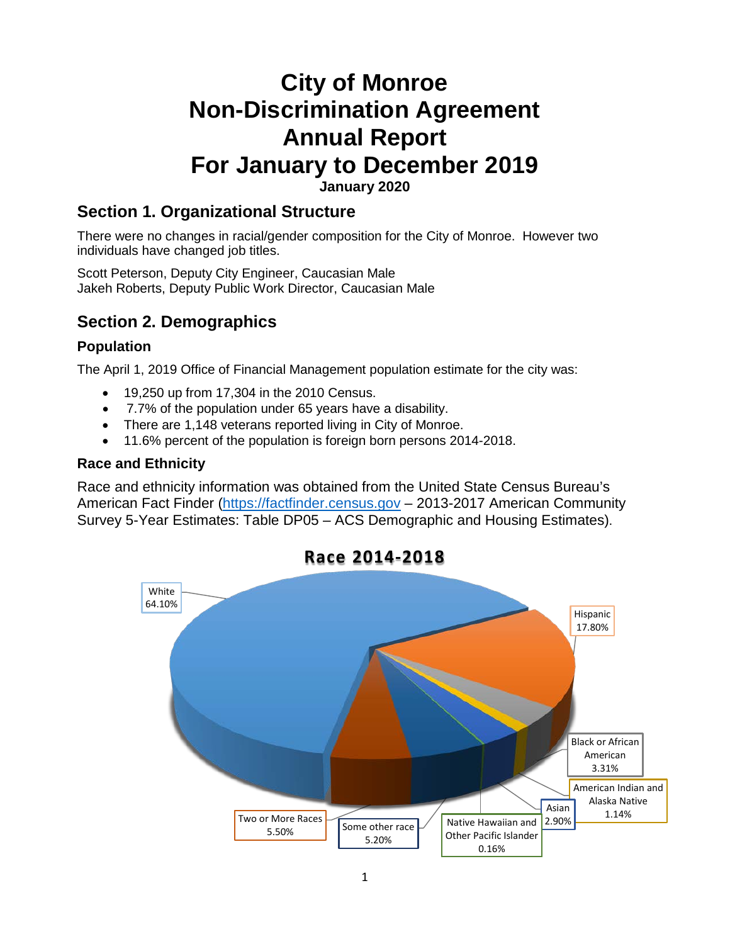# **City of Monroe Non-Discrimination Agreement Annual Report For January to December 2019**

**January 2020**

### **Section 1. Organizational Structure**

There were no changes in racial/gender composition for the City of Monroe. However two individuals have changed job titles.

Scott Peterson, Deputy City Engineer, Caucasian Male Jakeh Roberts, Deputy Public Work Director, Caucasian Male

### **Section 2. Demographics**

#### **Population**

The April 1, 2019 Office of Financial Management population estimate for the city was:

- 19,250 up from 17,304 in the 2010 Census.
- 7.7% of the population under 65 years have a disability.
- There are 1,148 veterans reported living in City of Monroe.
- 11.6% percent of the population is foreign born persons 2014-2018.

#### **Race and Ethnicity**

Race and ethnicity information was obtained from the United State Census Bureau's American Fact Finder [\(https://factfinder.census.gov](https://factfinder.census.gov/) - 2013-2017 American Community Survey 5-Year Estimates: Table DP05 – ACS Demographic and Housing Estimates).



### **Race 2014-2018**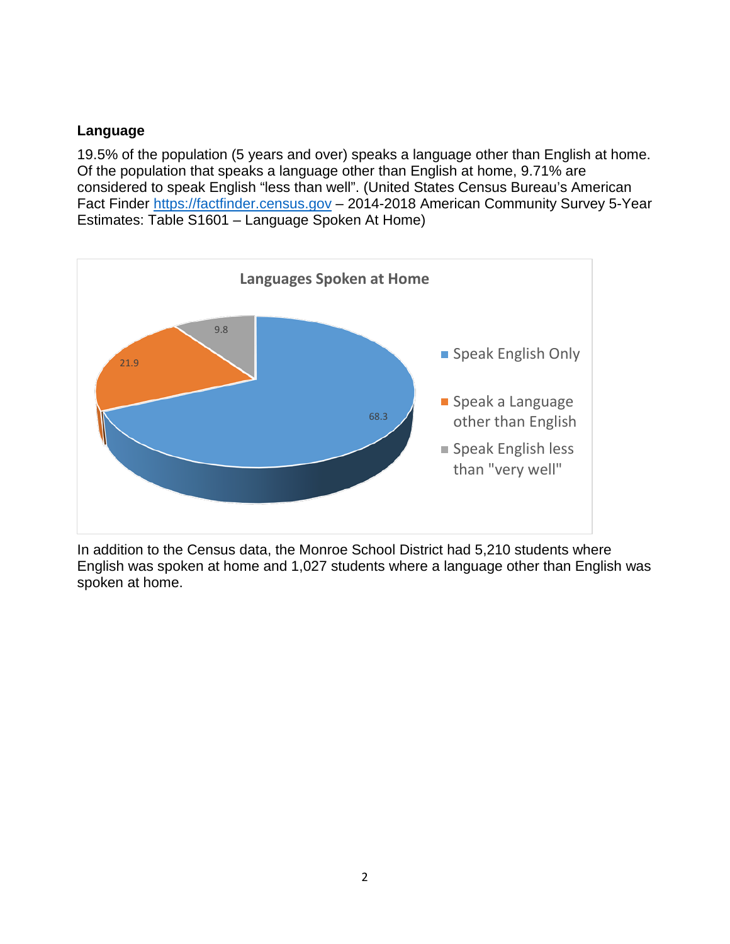#### **Language**

19.5% of the population (5 years and over) speaks a language other than English at home. Of the population that speaks a language other than English at home, 9.71% are considered to speak English "less than well". (United States Census Bureau's American Fact Finder [https://factfinder.census.gov](https://factfinder.census.gov/) – 2014-2018 American Community Survey 5-Year Estimates: Table S1601 – Language Spoken At Home)



In addition to the Census data, the Monroe School District had 5,210 students where English was spoken at home and 1,027 students where a language other than English was spoken at home.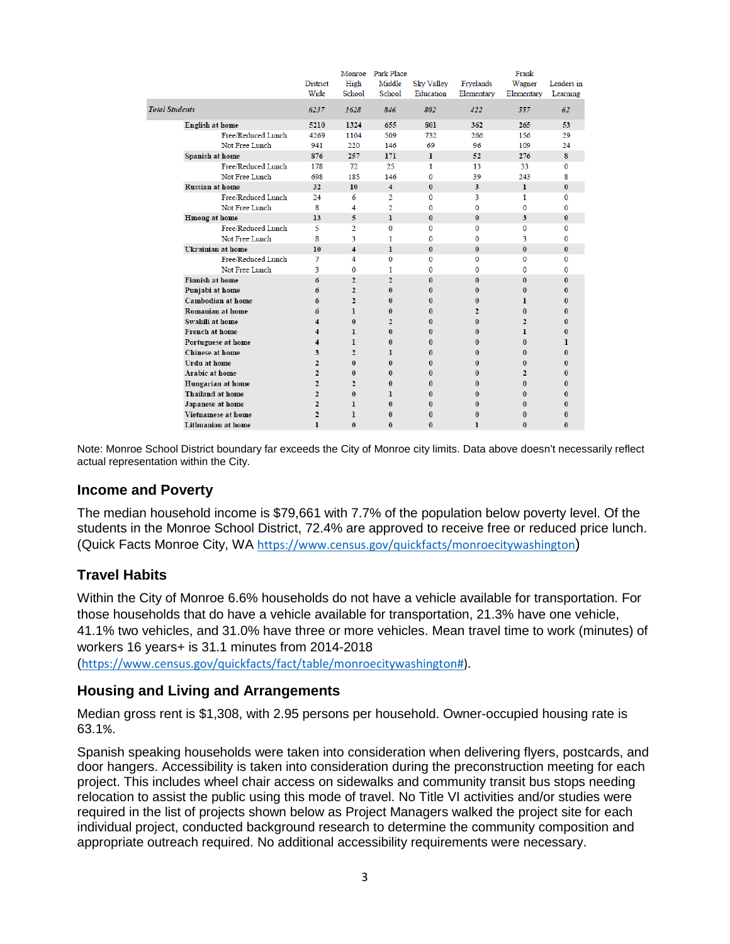|                          |                           |                 |                         | Monroe Park Place       |              |                | Frank          |              |
|--------------------------|---------------------------|-----------------|-------------------------|-------------------------|--------------|----------------|----------------|--------------|
|                          |                           | <b>District</b> | High                    | Middle                  | Sky Valley   | Fryelands      | Wagner         | Leaders in   |
|                          |                           | Wide            | School                  | School                  | Education    | Elementary     | Elementary     | Learning     |
| <b>Total Students</b>    |                           | 6237            | 1628                    | 846                     | 802          | 422            | 557            | 62           |
| <b>English at home</b>   |                           | 5210            | 1324                    | 655                     | 801          | 362            | 265            | 53           |
|                          | Free/Reduced Lunch        | 4269            | 1104                    | 509                     | 732          | 266            | 156            | 29           |
|                          | Not Free Lunch            | 941             | 220                     | 146                     | 69           | 96             | 109            | 24           |
| Spanish at home          |                           | 876             | 257                     | 171                     | $\mathbf{I}$ | 52             | 276            | 8            |
|                          | Free/Reduced Lunch        | 178             | 72                      | 25                      | 1            | 13             | 33             | $\Omega$     |
|                          | Not Free Lunch            | 698             | 185                     | 146                     | $\Omega$     | 39             | 243            | 8            |
| <b>Russian at home</b>   |                           | 32              | 10 <sup>°</sup>         | $\overline{\mathbf{4}}$ | $\bf{0}$     | 3              | $\mathbf{I}$   | $\bf{0}$     |
|                          | Free/Reduced Lunch        | 24              | 6                       | $\overline{2}$          | 0            | 3              | $\mathbf{1}$   | $\Omega$     |
|                          | Not Free Lunch            | 8               | 4                       | $\overline{2}$          | 0            | $\mathbf{0}$   | $\bf{0}$       | $\mathbf{0}$ |
| <b>Hmong</b> at home     |                           | 13              | 5                       | T.                      | $\bf{0}$     | $\bf{0}$       | 3              | $\mathbf{0}$ |
|                          | Free/Reduced Lunch        | 5               | $\overline{2}$          | $\Omega$                | 0            | $\Omega$       | $\Omega$       | $\Omega$     |
|                          | Not Free Lunch            | 8               | 3                       | 1.                      | 0            | $\Omega$       | 3              | $\Omega$     |
| <b>Ukrainian at home</b> |                           | 10              | $\overline{\mathbf{4}}$ | T.                      | $\bf{0}$     | $\bf{0}$       | $\bf{0}$       | $\bf{0}$     |
|                          | Free/Reduced Lunch        | 7               | 4                       | $\Omega$                | 0            | $\mathbf{0}$   | $\mathbf{0}$   | $\Omega$     |
|                          | Not Free Lunch            | 3               | 0                       | 1                       | 0            | $\bf{0}$       | 0              | $\Omega$     |
| <b>Finnish at home</b>   |                           | 6               | $\overline{2}$          | $\overline{2}$          | $\bf{0}$     | $\bf{0}$       | $\bf{0}$       | $\bf{0}$     |
| Punjabi at home          |                           | 6               | $\overline{2}$          | $\mathbf{0}$            | $\bf{0}$     | $\mathbf{0}$   | $\bf{0}$       | $\bf{0}$     |
|                          | <b>Cambodian at home</b>  | 6               | $\overline{2}$          | $\mathbf{0}$            | 0            | $\mathbf{0}$   | ı.             | $\mathbf{0}$ |
| <b>Romanian at home</b>  |                           | 6               | L                       | $\bf{0}$                | $\bf{0}$     | $\overline{2}$ | $\bf{0}$       | $\bf{0}$     |
| Swahili at home          |                           |                 | $\mathbf{0}$            | $\overline{2}$          | 0            | $\mathbf{0}$   | $\mathbf{2}$   | $\mathbf{0}$ |
| <b>French at home</b>    |                           |                 | 1                       | $\mathbf{0}$            | $\bf{0}$     | $\bf{0}$       | 1              | $\mathbf{0}$ |
|                          | Portuguese at home        |                 | 1                       | $\mathbf{0}$            | $\bf{0}$     | $\mathbf{0}$   | $\bf{0}$       | 1            |
| <b>Chinese at home</b>   |                           | 3               | $\overline{2}$          | 1                       | 0            | $\mathbf{0}$   | $\mathbf{0}$   | $\mathbf{0}$ |
| <b>Urdu at home</b>      |                           | $\overline{2}$  | $\bf{0}$                | $\mathbf{0}$            | 0            | $\mathbf{0}$   | $\bf{0}$       | $\bf{0}$     |
| <b>Arabic at home</b>    |                           | $\overline{2}$  | 0                       | $\mathbf{0}$            | 0            | $\mathbf{0}$   | $\overline{2}$ | $\mathbf{0}$ |
|                          | Hungarian at home         | $\overline{2}$  | $\overline{2}$          | $\bf{0}$                | $\bf{0}$     | $\mathbf{0}$   | $\bf{0}$       | $\bf{0}$     |
| <b>Thailand at home</b>  |                           | $\overline{2}$  | $\mathbf{0}$            | 1                       | $\bf{0}$     | $\bf{0}$       | $\bf{0}$       | $\mathbf{0}$ |
| Japanese at home         |                           | $\overline{2}$  | 1                       | $\bf{0}$                | $\bf{0}$     | $\bf{0}$       | $\bf{0}$       | $\bf{0}$     |
|                          | <b>Vietnamese at home</b> |                 | ı                       | $\mathbf{0}$            | $\bf{0}$     | $\mathbf{0}$   | $\bf{0}$       | $\bf{0}$     |
|                          | Lithuanian at home        | ı               | $\Omega$                | $\Omega$                | n            | 1              | $\Omega$       | $\mathbf{0}$ |

Note: Monroe School District boundary far exceeds the City of Monroe city limits. Data above doesn't necessarily reflect actual representation within the City.

#### **Income and Poverty**

The median household income is \$79,661 with 7.7% of the population below poverty level. Of the students in the Monroe School District, 72.4% are approved to receive free or reduced price lunch. (Quick Facts Monroe City, WA <https://www.census.gov/quickfacts/monroecitywashington>)

#### **Travel Habits**

Within the City of Monroe 6.6% households do not have a vehicle available for transportation. For those households that do have a vehicle available for transportation, 21.3% have one vehicle, 41.1% two vehicles, and 31.0% have three or more vehicles. Mean travel time to work (minutes) of workers 16 years+ is 31.1 minutes from 2014-2018

([https://www.census.gov/quickfacts/fact/table/monroecitywashington#\)](https://www.census.gov/quickfacts/fact/table/monroecitywashington).

#### **Housing and Living and Arrangements**

Median gross rent is \$1,308, with 2.95 persons per household. Owner-occupied housing rate is 63.1%.

Spanish speaking households were taken into consideration when delivering flyers, postcards, and door hangers. Accessibility is taken into consideration during the preconstruction meeting for each project. This includes wheel chair access on sidewalks and community transit bus stops needing relocation to assist the public using this mode of travel. No Title VI activities and/or studies were required in the list of projects shown below as Project Managers walked the project site for each individual project, conducted background research to determine the community composition and appropriate outreach required. No additional accessibility requirements were necessary.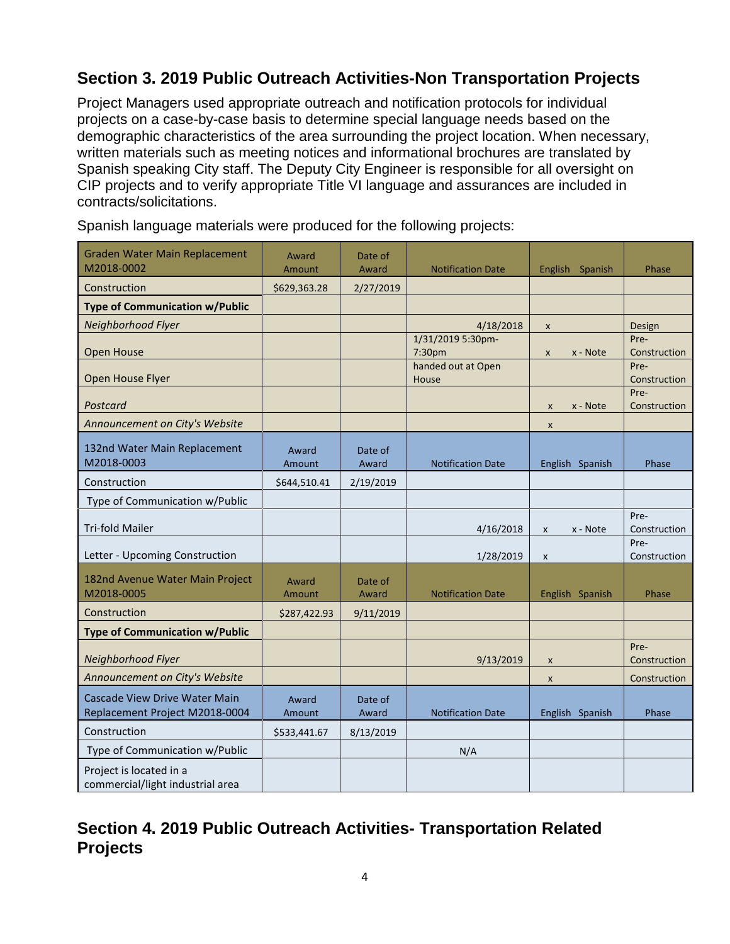# **Section 3. 2019 Public Outreach Activities-Non Transportation Projects**

Project Managers used appropriate outreach and notification protocols for individual projects on a case-by-case basis to determine special language needs based on the demographic characteristics of the area surrounding the project location. When necessary, written materials such as meeting notices and informational brochures are translated by Spanish speaking City staff. The Deputy City Engineer is responsible for all oversight on CIP projects and to verify appropriate Title VI language and assurances are included in contracts/solicitations.

| <b>Graden Water Main Replacement</b><br>M2018-0002              | Award           | Date of          |                             |                          |                      |
|-----------------------------------------------------------------|-----------------|------------------|-----------------------------|--------------------------|----------------------|
|                                                                 | Amount          | Award            | <b>Notification Date</b>    | English Spanish          | Phase                |
| Construction                                                    | \$629,363.28    | 2/27/2019        |                             |                          |                      |
| <b>Type of Communication w/Public</b>                           |                 |                  |                             |                          |                      |
| Neighborhood Flyer                                              |                 |                  | 4/18/2018                   | $\pmb{\mathsf{x}}$       | Design               |
| Open House                                                      |                 |                  | 1/31/2019 5:30pm-<br>7:30pm | x - Note<br>X            | Pre-<br>Construction |
| Open House Flyer                                                |                 |                  | handed out at Open<br>House |                          | Pre-<br>Construction |
| Postcard                                                        |                 |                  |                             | x - Note<br>$\mathsf{x}$ | Pre-<br>Construction |
| Announcement on City's Website                                  |                 |                  |                             | $\pmb{\times}$           |                      |
| 132nd Water Main Replacement<br>M2018-0003                      | Award<br>Amount | Date of<br>Award | <b>Notification Date</b>    | English Spanish          | Phase                |
| Construction                                                    | \$644,510.41    | 2/19/2019        |                             |                          |                      |
| Type of Communication w/Public                                  |                 |                  |                             |                          |                      |
| <b>Tri-fold Mailer</b>                                          |                 |                  | 4/16/2018                   | x - Note<br>$\pmb{\chi}$ | Pre-<br>Construction |
| Letter - Upcoming Construction                                  |                 |                  | 1/28/2019                   | $\pmb{\chi}$             | Pre-<br>Construction |
| 182nd Avenue Water Main Project<br>M2018-0005                   | Award<br>Amount | Date of<br>Award | <b>Notification Date</b>    | English Spanish          | Phase                |
| Construction                                                    | \$287,422.93    | 9/11/2019        |                             |                          |                      |
| <b>Type of Communication w/Public</b>                           |                 |                  |                             |                          |                      |
| Neighborhood Flyer                                              |                 |                  | 9/13/2019                   | $\pmb{\times}$           | Pre-<br>Construction |
| Announcement on City's Website                                  |                 |                  |                             | X                        | Construction         |
| Cascade View Drive Water Main<br>Replacement Project M2018-0004 | Award<br>Amount | Date of<br>Award | <b>Notification Date</b>    | English Spanish          | Phase                |
| Construction                                                    | \$533,441.67    | 8/13/2019        |                             |                          |                      |
| Type of Communication w/Public                                  |                 |                  | N/A                         |                          |                      |
| Project is located in a<br>commercial/light industrial area     |                 |                  |                             |                          |                      |

Spanish language materials were produced for the following projects:

# **Section 4. 2019 Public Outreach Activities- Transportation Related Projects**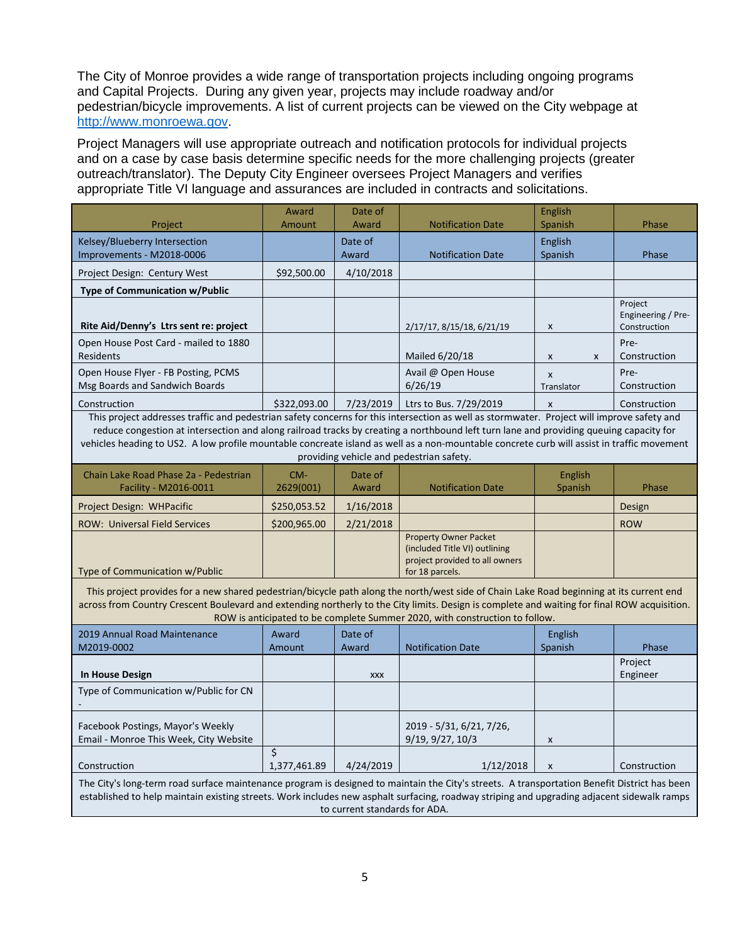The City of Monroe provides a wide range of transportation projects including ongoing programs and Capital Projects. During any given year, projects may include roadway and/or pedestrian/bicycle improvements. A list of current projects can be viewed on the City webpage at [http://www.monroewa.gov.](http://www.monroewa.gov/)

Project Managers will use appropriate outreach and notification protocols for individual projects and on a case by case basis determine specific needs for the more challenging projects (greater outreach/translator). The Deputy City Engineer oversees Project Managers and verifies appropriate Title VI language and assurances are included in contracts and solicitations.

|                                                                                                                                                                                                                                                                                                                                                                                                                                                                                | Award                                   | Date of          |                                                                                                                    | English                    |                                               |  |  |
|--------------------------------------------------------------------------------------------------------------------------------------------------------------------------------------------------------------------------------------------------------------------------------------------------------------------------------------------------------------------------------------------------------------------------------------------------------------------------------|-----------------------------------------|------------------|--------------------------------------------------------------------------------------------------------------------|----------------------------|-----------------------------------------------|--|--|
| Project                                                                                                                                                                                                                                                                                                                                                                                                                                                                        | Amount                                  | Award            | <b>Notification Date</b>                                                                                           | Spanish                    | Phase                                         |  |  |
| Kelsey/Blueberry Intersection<br>Improvements - M2018-0006                                                                                                                                                                                                                                                                                                                                                                                                                     |                                         | Date of<br>Award | <b>Notification Date</b>                                                                                           | English<br>Spanish         | Phase                                         |  |  |
| Project Design: Century West                                                                                                                                                                                                                                                                                                                                                                                                                                                   | \$92,500.00                             | 4/10/2018        |                                                                                                                    |                            |                                               |  |  |
| Type of Communication w/Public                                                                                                                                                                                                                                                                                                                                                                                                                                                 |                                         |                  |                                                                                                                    |                            |                                               |  |  |
| Rite Aid/Denny's Ltrs sent re: project                                                                                                                                                                                                                                                                                                                                                                                                                                         |                                         |                  | 2/17/17, 8/15/18, 6/21/19                                                                                          | $\pmb{\times}$             | Project<br>Engineering / Pre-<br>Construction |  |  |
| Open House Post Card - mailed to 1880<br><b>Residents</b>                                                                                                                                                                                                                                                                                                                                                                                                                      |                                         |                  | Mailed 6/20/18                                                                                                     | X<br>X                     | Pre-<br>Construction                          |  |  |
| Open House Flyer - FB Posting, PCMS<br>Msg Boards and Sandwich Boards                                                                                                                                                                                                                                                                                                                                                                                                          |                                         |                  | Avail @ Open House<br>6/26/19                                                                                      | $\mathsf{x}$<br>Translator | Pre-<br>Construction                          |  |  |
| Construction                                                                                                                                                                                                                                                                                                                                                                                                                                                                   | \$322,093.00                            | 7/23/2019        | Ltrs to Bus. 7/29/2019                                                                                             | X                          | Construction                                  |  |  |
| This project addresses traffic and pedestrian safety concerns for this intersection as well as stormwater. Project will improve safety and<br>reduce congestion at intersection and along railroad tracks by creating a northbound left turn lane and providing queuing capacity for<br>vehicles heading to US2. A low profile mountable concreate island as well as a non-mountable concrete curb will assist in traffic movement<br>providing vehicle and pedestrian safety. |                                         |                  |                                                                                                                    |                            |                                               |  |  |
| Chain Lake Road Phase 2a - Pedestrian<br>Facility - M2016-0011                                                                                                                                                                                                                                                                                                                                                                                                                 | CM-<br>2629(001)                        | Date of<br>Award | <b>Notification Date</b>                                                                                           | English<br>Spanish         | Phase                                         |  |  |
| Project Design: WHPacific                                                                                                                                                                                                                                                                                                                                                                                                                                                      | \$250,053.52                            | 1/16/2018        |                                                                                                                    |                            | Design                                        |  |  |
| <b>ROW: Universal Field Services</b>                                                                                                                                                                                                                                                                                                                                                                                                                                           | \$200,965.00                            | 2/21/2018        |                                                                                                                    |                            | <b>ROW</b>                                    |  |  |
| Type of Communication w/Public                                                                                                                                                                                                                                                                                                                                                                                                                                                 |                                         |                  | <b>Property Owner Packet</b><br>(included Title VI) outlining<br>project provided to all owners<br>for 18 parcels. |                            |                                               |  |  |
| This project provides for a new shared pedestrian/bicycle path along the north/west side of Chain Lake Road beginning at its current end<br>across from Country Crescent Boulevard and extending northerly to the City limits. Design is complete and waiting for final ROW acquisition.<br>ROW is anticipated to be complete Summer 2020, with construction to follow.                                                                                                        |                                         |                  |                                                                                                                    |                            |                                               |  |  |
| 2019 Annual Road Maintenance                                                                                                                                                                                                                                                                                                                                                                                                                                                   | Award                                   | Date of          |                                                                                                                    | <b>English</b>             |                                               |  |  |
| M2019-0002                                                                                                                                                                                                                                                                                                                                                                                                                                                                     | Amount                                  | Award            | <b>Notification Date</b>                                                                                           | Spanish                    | Phase                                         |  |  |
| <b>In House Design</b>                                                                                                                                                                                                                                                                                                                                                                                                                                                         |                                         | <b>XXX</b>       |                                                                                                                    |                            | Project<br>Engineer                           |  |  |
| Type of Communication w/Public for CN                                                                                                                                                                                                                                                                                                                                                                                                                                          |                                         |                  |                                                                                                                    |                            |                                               |  |  |
| Facebook Postings, Mayor's Weekly<br>Email - Monroe This Week, City Website                                                                                                                                                                                                                                                                                                                                                                                                    |                                         |                  | 2019 - 5/31, 6/21, 7/26,<br>9/19, 9/27, 10/3                                                                       | X                          |                                               |  |  |
| Construction                                                                                                                                                                                                                                                                                                                                                                                                                                                                   | $\overline{\mathsf{S}}$<br>1,377,461.89 | 4/24/2019        | 1/12/2018                                                                                                          | $\pmb{\times}$             | Construction                                  |  |  |
| The City's long-term road surface maintenance program is designed to maintain the City's streets. A transportation Benefit District has been<br>established to help maintain existing streets. Work includes new asphalt surfacing, roadway striping and upgrading adjacent sidewalk ramps<br>to current standards for ADA.                                                                                                                                                    |                                         |                  |                                                                                                                    |                            |                                               |  |  |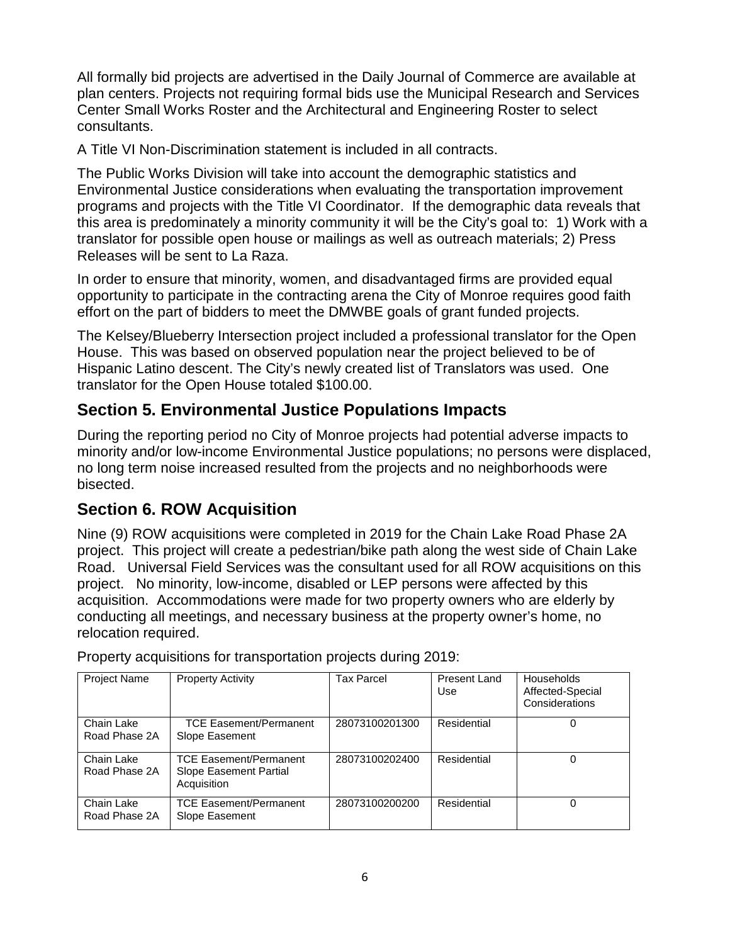All formally bid projects are advertised in the Daily Journal of Commerce are available at plan centers. Projects not requiring formal bids use the Municipal Research and Services Center Small Works Roster and the Architectural and Engineering Roster to select consultants.

A Title VI Non-Discrimination statement is included in all contracts.

The Public Works Division will take into account the demographic statistics and Environmental Justice considerations when evaluating the transportation improvement programs and projects with the Title VI Coordinator. If the demographic data reveals that this area is predominately a minority community it will be the City's goal to: 1) Work with a translator for possible open house or mailings as well as outreach materials; 2) Press Releases will be sent to La Raza.

In order to ensure that minority, women, and disadvantaged firms are provided equal opportunity to participate in the contracting arena the City of Monroe requires good faith effort on the part of bidders to meet the DMWBE goals of grant funded projects.

The Kelsey/Blueberry Intersection project included a professional translator for the Open House. This was based on observed population near the project believed to be of Hispanic Latino descent. The City's newly created list of Translators was used. One translator for the Open House totaled \$100.00.

# **Section 5. Environmental Justice Populations Impacts**

During the reporting period no City of Monroe projects had potential adverse impacts to minority and/or low-income Environmental Justice populations; no persons were displaced, no long term noise increased resulted from the projects and no neighborhoods were bisected.

## **Section 6. ROW Acquisition**

Nine (9) ROW acquisitions were completed in 2019 for the Chain Lake Road Phase 2A project. This project will create a pedestrian/bike path along the west side of Chain Lake Road. Universal Field Services was the consultant used for all ROW acquisitions on this project. No minority, low-income, disabled or LEP persons were affected by this acquisition. Accommodations were made for two property owners who are elderly by conducting all meetings, and necessary business at the property owner's home, no relocation required.

| Project Name                | <b>Property Activity</b>                                               | <b>Tax Parcel</b> | <b>Present Land</b><br>Use | <b>Households</b><br>Affected-Special<br>Considerations |
|-----------------------------|------------------------------------------------------------------------|-------------------|----------------------------|---------------------------------------------------------|
| Chain Lake<br>Road Phase 2A | <b>TCE Easement/Permanent</b><br>Slope Easement                        | 28073100201300    | Residential                | 0                                                       |
| Chain Lake<br>Road Phase 2A | <b>TCE Easement/Permanent</b><br>Slope Easement Partial<br>Acquisition | 28073100202400    | Residential                |                                                         |
| Chain Lake<br>Road Phase 2A | <b>TCE Easement/Permanent</b><br>Slope Easement                        | 28073100200200    | Residential                | 0                                                       |

Property acquisitions for transportation projects during 2019: